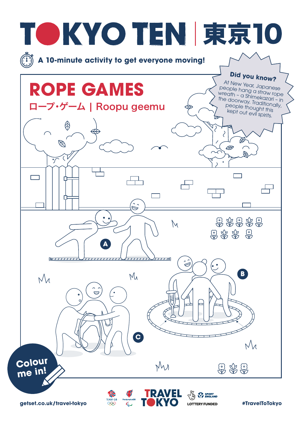